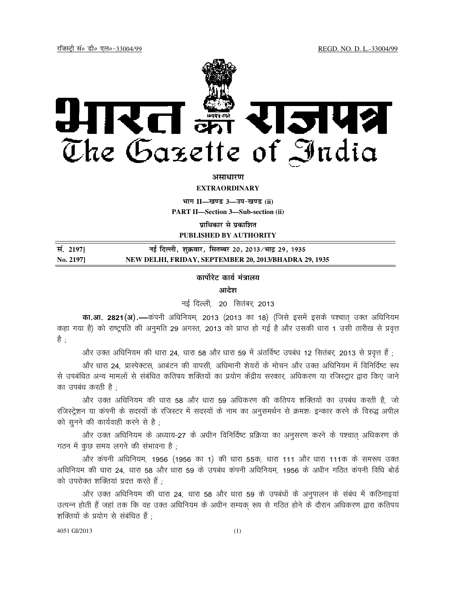REGD. NO. D. L.-33004/99

<u>रजिस्ट्री सं० डी० एल०-33004/99</u>



#### असाधारण

**EXTRAORDINARY** 

भाग II-खण्ड 3-उप-खण्ड (ii)

**PART II-Section 3-Sub-section (ii)** 

प्राधिकार से प्रकाशित PUBLISHED BY AUTHORITY

नई दिल्ली, शुक्रवार, सितम्बर 20, 2013/भाद्र 29, 1935 सं. 21971 No. 21971 NEW DELHI, FRIDAY, SEPTEMBER 20, 2013/BHADRA 29, 1935

#### कार्पोरेट कार्य मंत्रालय

आदेश

नई दिल्ली, 20 सितंबर, 2013

का आ. 2821(अ).—कंपनी अधिनियम, 2013 (2013 का 18) (जिसे इसमें इसके पश्चात उक्त अधिनियम कहा गया है) को राष्ट्रपति की अनुमति 29 अगस्त, 2013 को प्राप्त हो गई है और उसकी धारा 1 उसी तारीख से प्रवृत्त है ;

, और उक्त अधिनियम की धारा 24, धारा 58 और धारा 59 में अंतर्विष्ट उपबंध 12 सितंबर, 2013 से प्रवृत्त हैं

और धारा 24. प्रास्पेक्टस. आबंटन की वापसी. अधिमानी शेयरों के मोचन और उक्त अधिनियम में विनिर्दिष्ट रूप से उपबंधित अन्य मामलों से संबंधित कतिपय शक्तियों का प्रयोग केंद्रीय सरकार, अधिकरण या रजिस्ट्रार द्वारा किए जाने का उपबंध करती है ;

और उक्त अधिनियम की धारा 58 और धारा 59 अधिकरण की कतिपय शक्तियों का उपबंध करती है, जो रजिस्ट्रेशन या कंपनी के सदस्यों के रजिस्टर में सदस्यों के नाम का अनुसमर्थन से क्रमशः इन्कार करने के विरुद्ध अपील को सूनने की कार्यवाही करने से है ;

और उक्त अधिनियम के अध्याय-27 के अधीन विनिर्दिष्ट प्रक्रिया का अनुसरण करने के पश्चात अधिकरण के गठन में कुछ समय लगने की संभावना है,

और कंपनी अधिनियम, 1956 (1956 का 1) की धारा 55क, धारा 111 और धारा 111क के समरूप उक्त अधिनियम की धारा 24, धारा 58 और धारा 59 के उपबंध कंपनी अधिनियम, 1956 के अधीन गठित कंपनी विधि बोर्ड को उपरोक्त शक्तियां प्रदत्त करते हैं :

और उक्त अधिनियम की धारा 24, धारा 58 और धारा 59 के उपबंधों के अनुपालन के संबंध में कठिनाइयां उत्पन्न होती हैं जहां तक कि वह उक्त अधिनियम के अधीन सम्यक रूप से गठित होने के दौरान अधिकरण द्वारा कतिपय शक्तियों के प्रयोग से संबंधित हैं ;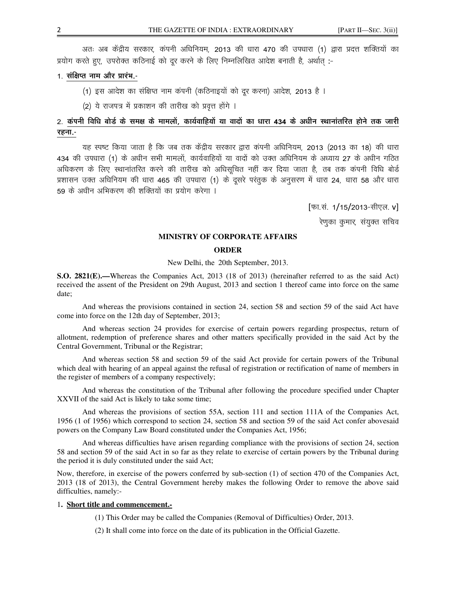अतः अब केंद्रीय सरकार, कंपनी अधिनियम, 2013 की धारा 470 की उपधारा (1) द्वारा प्रदत्त शक्तियों का प्रयोग करते हुए, उपरोक्त कठिनाई को दूर करने के लिए निम्नलिखित आदेश बनाती है, अर्थात् :-

# 1. संक्षिप्त नाम और प्रारंभ -

- (1) इस आदेश का संक्षिप्त नाम कंपनी (कठिनाइयों को दूर करना) आदेश, 2013 है ।
- (2) ये राजपत्र में प्रकाशन की तारीख को प्रवृत्त होंगे ।

# 2. कंपनी विधि बोर्ड के समक्ष के मामलों, कार्यवाहियों या वादों का धारा 434 के अधीन स्थानांतरित होने तक जारी रहना.-

यह स्पष्ट किया जाता है कि जब तक केंद्रीय सरकार द्वारा कंपनी अधिनियम, 2013 (2013 का 18) की धारा 434 की उपधारा (1) के अधीन सभी मामलों, कार्यवाहियों या वादों को उक्त अधिनियम के अध्याय 27 के अधीन गठित अधिकरण के लिए स्थानांतरित करने की तारीख को अधिसुचित नहीं कर दिया जाता है, तब तक कंपनी विधि बोर्ड प्रशासन उक्त अधिनियम की धारा 465 की उपधारा (1) के दूसरे परंतुक के अनुसरण में धारा 24, धारा 58 और धारा 59 के अधीन अभिकरण की शक्तियों का प्रयोग करेगा ।

[फा.सं. 1/15/2013-सीएल. v]

रेणका कुमार, संयुक्त सचिव

### **MINISTRY OF CORPORATE AFFAIRS**

## **ORDER**

New Delhi, the 20th September, 2013.

S.O. 2821(E).—Whereas the Companies Act, 2013 (18 of 2013) (hereinafter referred to as the said Act) received the assent of the President on 29th August, 2013 and section 1 thereof came into force on the same date:

And whereas the provisions contained in section 24, section 58 and section 59 of the said Act have come into force on the 12th day of September, 2013;

And whereas section 24 provides for exercise of certain powers regarding prospectus, return of allotment, redemption of preference shares and other matters specifically provided in the said Act by the Central Government, Tribunal or the Registrar;

And whereas section 58 and section 59 of the said Act provide for certain powers of the Tribunal which deal with hearing of an appeal against the refusal of registration or rectification of name of members in the register of members of a company respectively;

And whereas the constitution of the Tribunal after following the procedure specified under Chapter XXVII of the said Act is likely to take some time;

And whereas the provisions of section 55A, section 111 and section 111A of the Companies Act, 1956 (1 of 1956) which correspond to section 24, section 58 and section 59 of the said Act confer abovesaid powers on the Company Law Board constituted under the Companies Act, 1956;

And whereas difficulties have arisen regarding compliance with the provisions of section 24, section 58 and section 59 of the said Act in so far as they relate to exercise of certain powers by the Tribunal during the period it is duly constituted under the said Act;

Now, therefore, in exercise of the powers conferred by sub-section (1) of section 470 of the Companies Act, 2013 (18 of 2013), the Central Government hereby makes the following Order to remove the above said difficulties, namely:-

#### 1. Short title and commencement.-

(1) This Order may be called the Companies (Removal of Difficulties) Order, 2013.

(2) It shall come into force on the date of its publication in the Official Gazette.